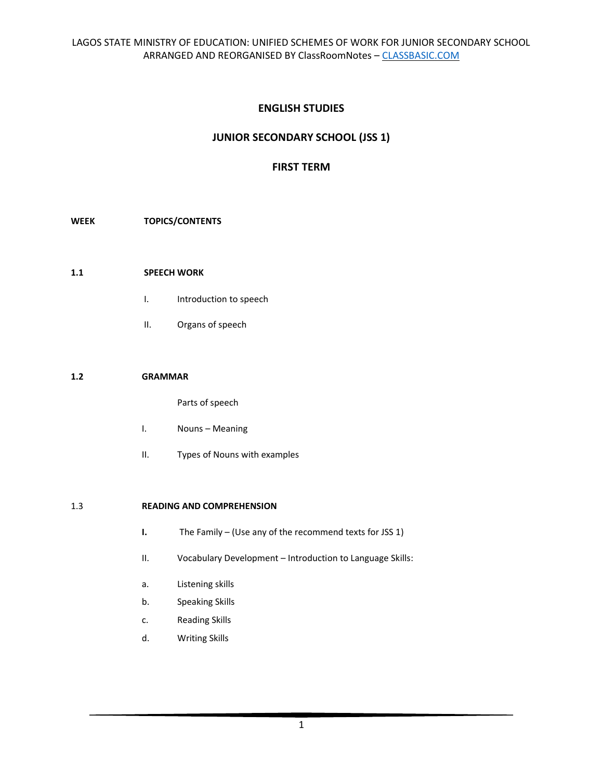# **ENGLISH STUDIES**

# **JUNIOR SECONDARY SCHOOL (JSS 1)**

# **FIRST TERM**

### **WEEK TOPICS/CONTENTS**

### **1.1 SPEECH WORK**

- I. Introduction to speech
- II. Organs of speech

#### **1.2 GRAMMAR**

Parts of speech

- I. Nouns Meaning
- II. Types of Nouns with examples

### 1.3 **READING AND COMPREHENSION**

- **I.** The Family (Use any of the recommend texts for JSS 1)
- II. Vocabulary Development Introduction to Language Skills:
- a. Listening skills
- b. Speaking Skills
- c. Reading Skills
- d. Writing Skills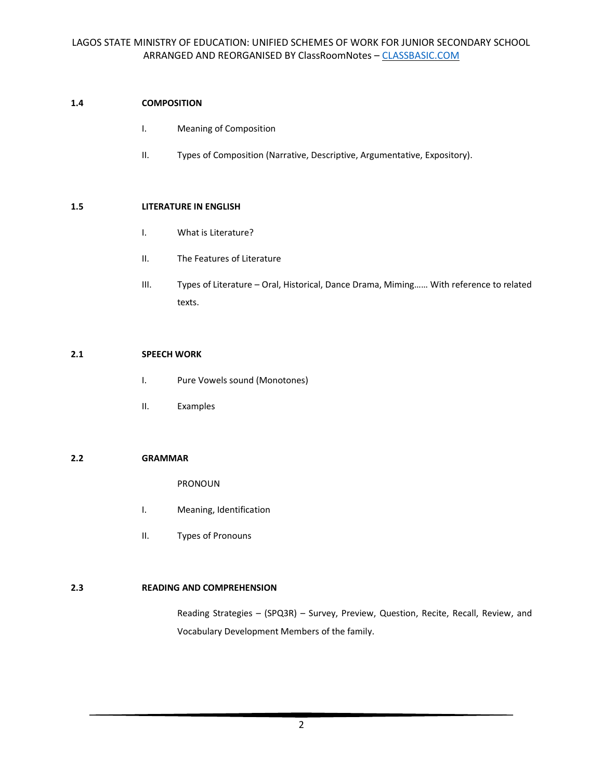### **1.4 COMPOSITION**

- I. Meaning of Composition
- II. Types of Composition (Narrative, Descriptive, Argumentative, Expository).

### **1.5 LITERATURE IN ENGLISH**

- I. What is Literature?
- II. The Features of Literature
- III. Types of Literature Oral, Historical, Dance Drama, Miming…… With reference to related texts.

### **2.1 SPEECH WORK**

- I. Pure Vowels sound (Monotones)
- II. Examples

### **2.2 GRAMMAR**

PRONOUN

- I. Meaning, Identification
- II. Types of Pronouns

### **2.3 READING AND COMPREHENSION**

Reading Strategies – (SPQ3R) – Survey, Preview, Question, Recite, Recall, Review, and Vocabulary Development Members of the family.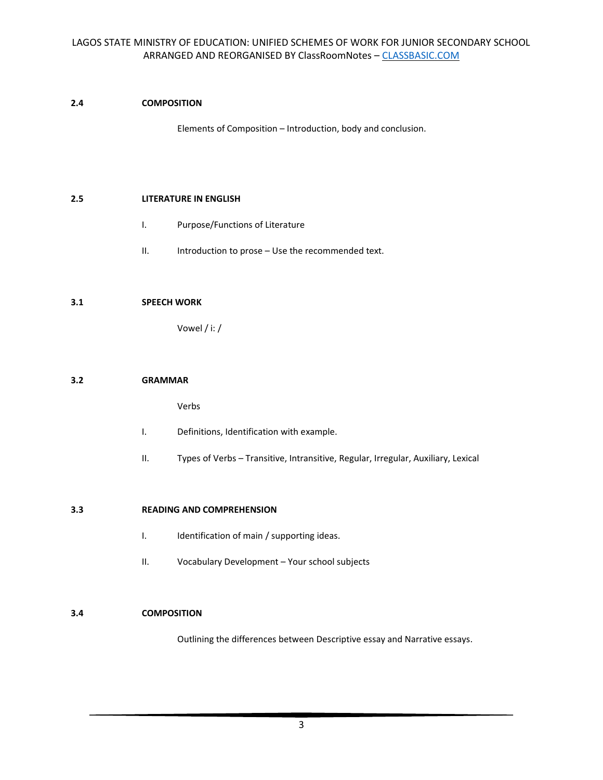# **2.4 COMPOSITION**

Elements of Composition – Introduction, body and conclusion.

### **2.5 LITERATURE IN ENGLISH**

- I. Purpose/Functions of Literature
- II. Introduction to prose Use the recommended text.

### **3.1 SPEECH WORK**

Vowel / i: /

### **3.2 GRAMMAR**

Verbs

- I. Definitions, Identification with example.
- II. Types of Verbs Transitive, Intransitive, Regular, Irregular, Auxiliary, Lexical

### **3.3 READING AND COMPREHENSION**

- I. Identification of main / supporting ideas.
- II. Vocabulary Development Your school subjects

### **3.4 COMPOSITION**

Outlining the differences between Descriptive essay and Narrative essays.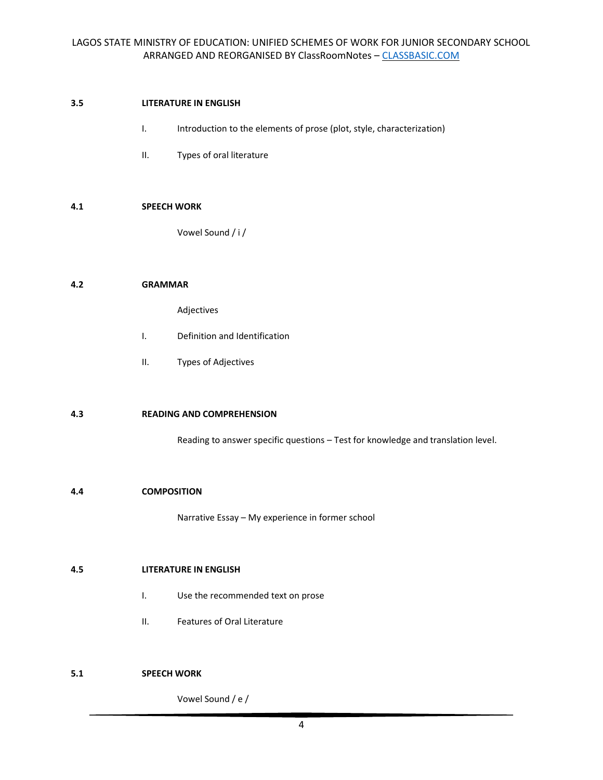# **3.5 LITERATURE IN ENGLISH**

- I. Introduction to the elements of prose (plot, style, characterization)
- II. Types of oral literature

### **4.1 SPEECH WORK**

Vowel Sound / i /

### **4.2 GRAMMAR**

Adjectives

- I. Definition and Identification
- II. Types of Adjectives

### **4.3 READING AND COMPREHENSION**

Reading to answer specific questions – Test for knowledge and translation level.

### **4.4 COMPOSITION**

Narrative Essay – My experience in former school

# **4.5 LITERATURE IN ENGLISH**

- I. Use the recommended text on prose
- II. Features of Oral Literature

# **5.1 SPEECH WORK**

Vowel Sound / e /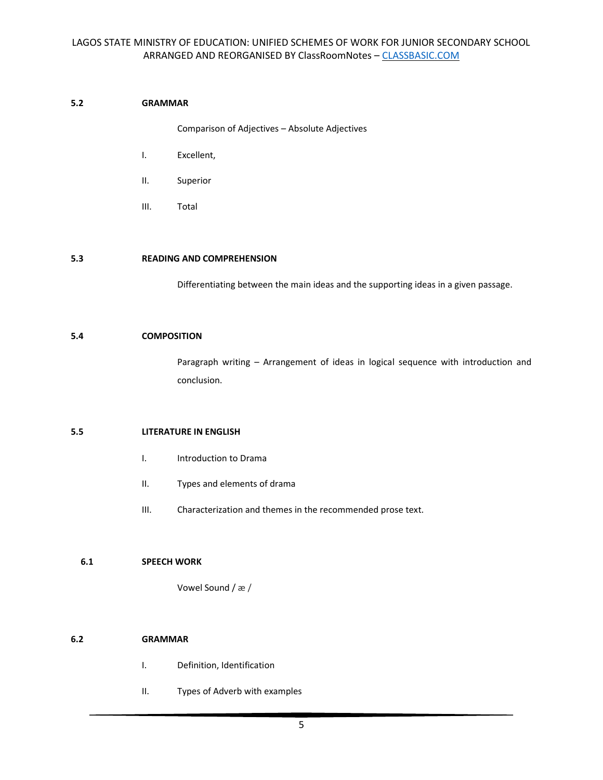# **5.2 GRAMMAR**

Comparison of Adjectives – Absolute Adjectives

- I. Excellent,
- II. Superior
- III. Total

### **5.3 READING AND COMPREHENSION**

Differentiating between the main ideas and the supporting ideas in a given passage.

# **5.4 COMPOSITION**

Paragraph writing – Arrangement of ideas in logical sequence with introduction and conclusion.

### **5.5 LITERATURE IN ENGLISH**

- I. Introduction to Drama
- II. Types and elements of drama
- III. Characterization and themes in the recommended prose text.

### **6.1 SPEECH WORK**

Vowel Sound / æ /

### **6.2 GRAMMAR**

- I. Definition, Identification
- II. Types of Adverb with examples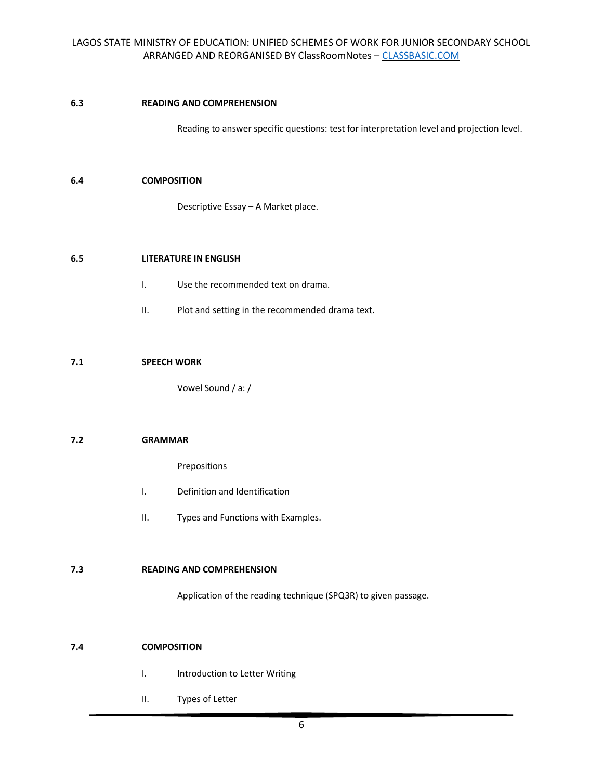### **6.3 READING AND COMPREHENSION**

Reading to answer specific questions: test for interpretation level and projection level.

### **6.4 COMPOSITION**

Descriptive Essay – A Market place.

### **6.5 LITERATURE IN ENGLISH**

- I. Use the recommended text on drama.
- II. Plot and setting in the recommended drama text.

#### **7.1 SPEECH WORK**

Vowel Sound / a: /

#### **7.2 GRAMMAR**

Prepositions

- I. Definition and Identification
- II. Types and Functions with Examples.

### **7.3 READING AND COMPREHENSION**

Application of the reading technique (SPQ3R) to given passage.

### **7.4 COMPOSITION**

- I. Introduction to Letter Writing
- II. Types of Letter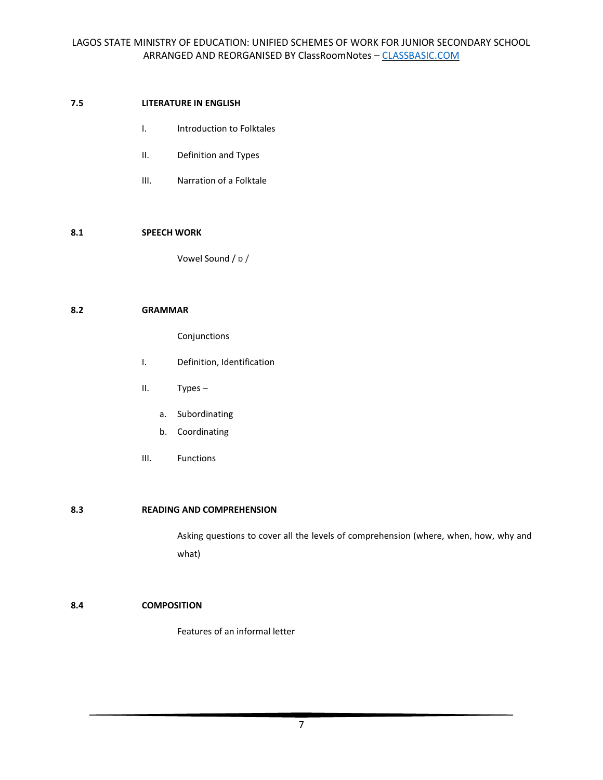### **7.5 LITERATURE IN ENGLISH**

- I. Introduction to Folktales
- II. Definition and Types
- III. Narration of a Folktale

### **8.1 SPEECH WORK**

Vowel Sound / ɒ /

### **8.2 GRAMMAR**

Conjunctions

- I. Definition, Identification
- II. Types
	- a. Subordinating
	- b. Coordinating
- III. Functions

### **8.3 READING AND COMPREHENSION**

Asking questions to cover all the levels of comprehension (where, when, how, why and what)

### **8.4 COMPOSITION**

Features of an informal letter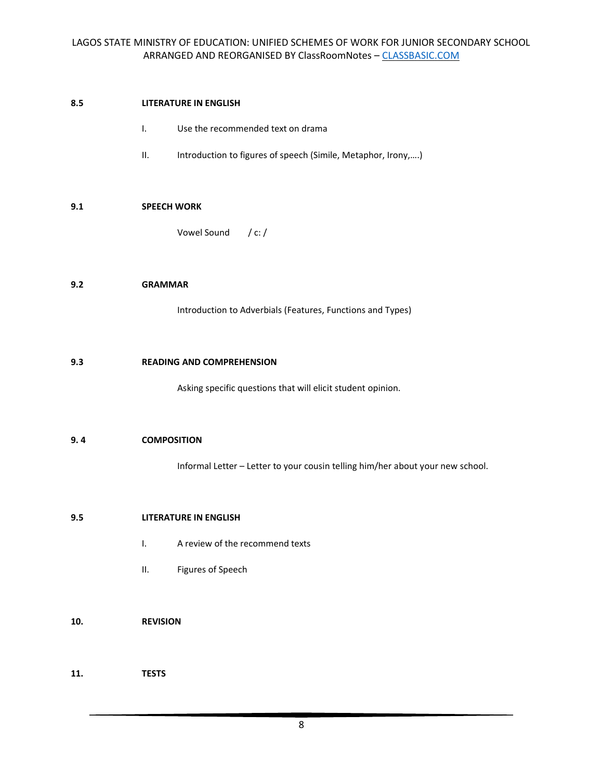### **8.5 LITERATURE IN ENGLISH**

- I. Use the recommended text on drama
- II. Introduction to figures of speech (Simile, Metaphor, Irony,....)

# **9.1 SPEECH WORK**

Vowel Sound / c: /

### **9.2 GRAMMAR**

Introduction to Adverbials (Features, Functions and Types)

### **9.3 READING AND COMPREHENSION**

Asking specific questions that will elicit student opinion.

### **9. 4 COMPOSITION**

Informal Letter – Letter to your cousin telling him/her about your new school.

### **9.5 LITERATURE IN ENGLISH**

- I. A review of the recommend texts
- II. Figures of Speech
- **10. REVISION**

**11. TESTS**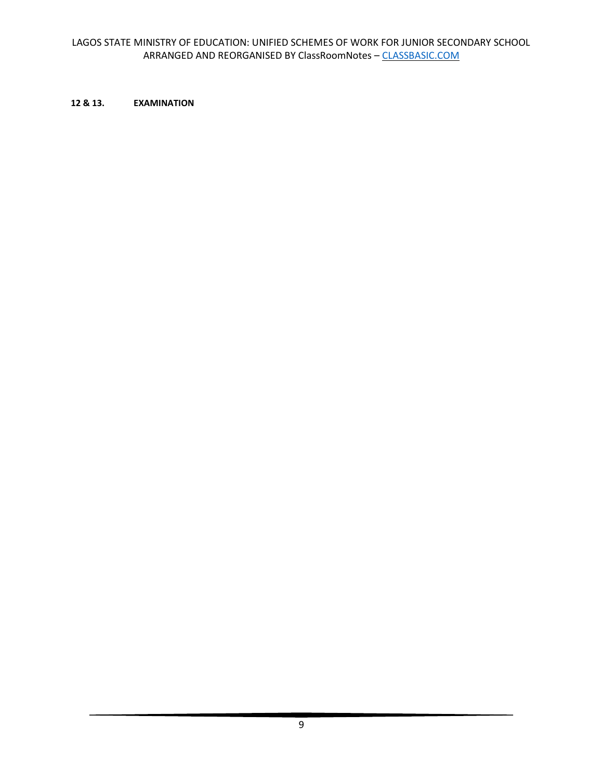# **12 & 13. EXAMINATION**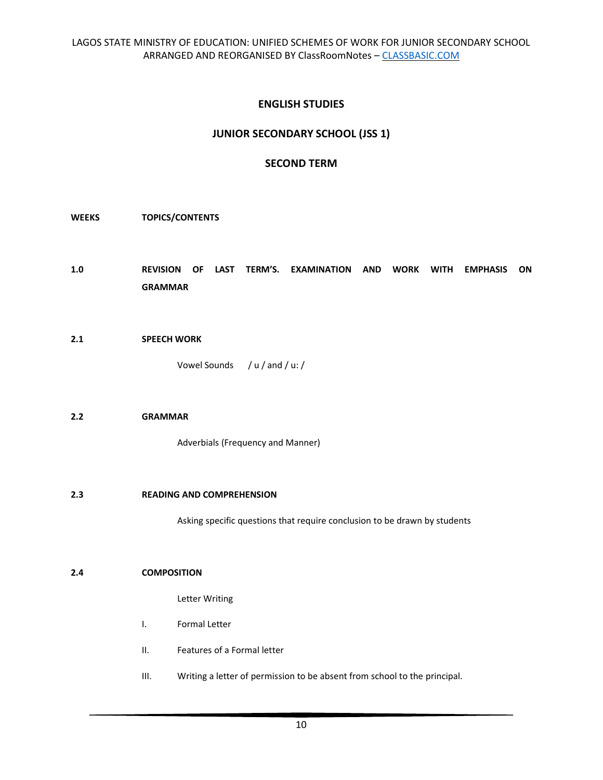# **ENGLISH STUDIES**

# **JUNIOR SECONDARY SCHOOL (JSS 1)**

# **SECOND TERM**

### **WEEKS TOPICS/CONTENTS**

- **1.0 REVISION OF LAST TERM'S. EXAMINATION AND WORK WITH EMPHASIS ON GRAMMAR**
- **2.1 SPEECH WORK**

Vowel Sounds / u / and / u: /

# **2.2 GRAMMAR**

Adverbials (Frequency and Manner)

#### **2.3 READING AND COMPREHENSION**

Asking specific questions that require conclusion to be drawn by students

#### **2.4 COMPOSITION**

Letter Writing

- I. Formal Letter
- II. Features of a Formal letter
- III. Writing a letter of permission to be absent from school to the principal.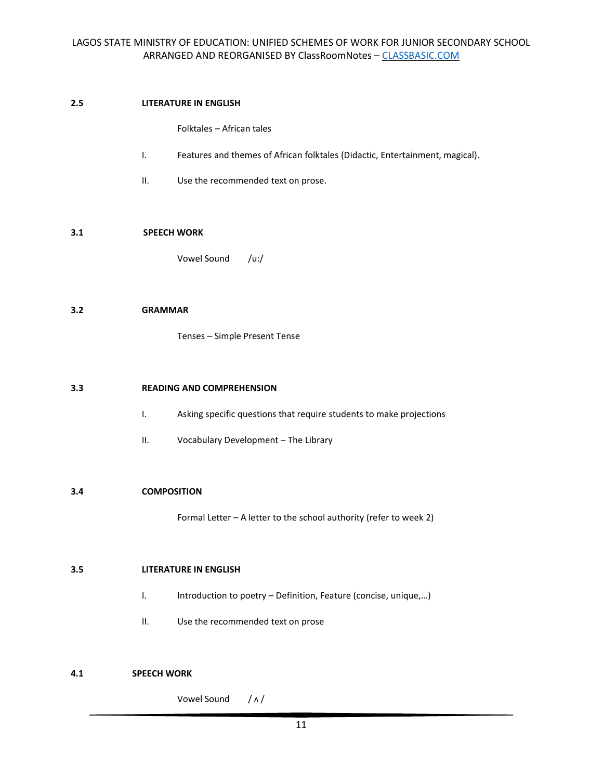### **2.5 LITERATURE IN ENGLISH**

Folktales – African tales

- I. Features and themes of African folktales (Didactic, Entertainment, magical).
- II. Use the recommended text on prose.

### **3.1 SPEECH WORK**

Vowel Sound /u:/

### **3.2 GRAMMAR**

Tenses – Simple Present Tense

### **3.3 READING AND COMPREHENSION**

- I. Asking specific questions that require students to make projections
- II. Vocabulary Development The Library

### **3.4 COMPOSITION**

Formal Letter – A letter to the school authority (refer to week 2)

# **3.5 LITERATURE IN ENGLISH**

- I. Introduction to poetry Definition, Feature (concise, unique,...)
- II. Use the recommended text on prose

# **4.1 SPEECH WORK**

Vowel Sound / ʌ /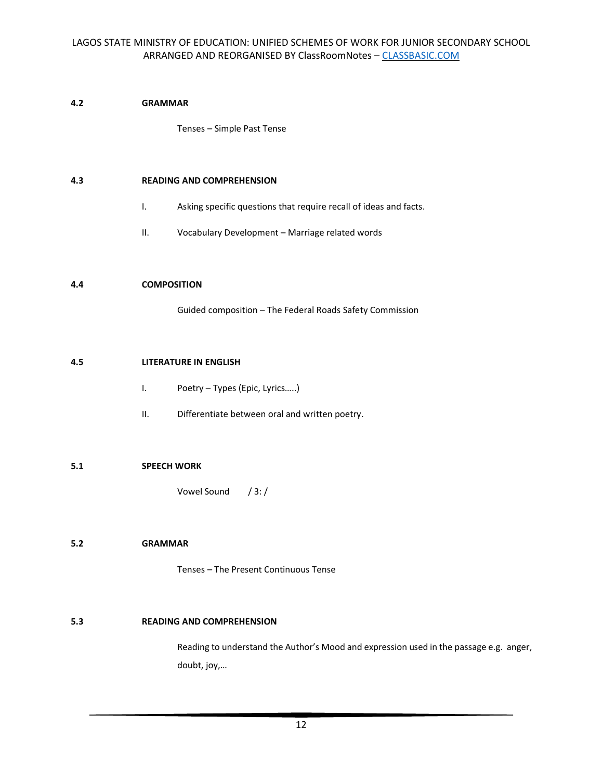# **4.2 GRAMMAR**

Tenses – Simple Past Tense

### **4.3 READING AND COMPREHENSION**

- I. Asking specific questions that require recall of ideas and facts.
- II. Vocabulary Development Marriage related words

#### **4.4 COMPOSITION**

Guided composition – The Federal Roads Safety Commission

#### **4.5 LITERATURE IN ENGLISH**

- I. Poetry Types (Epic, Lyrics…..)
- II. Differentiate between oral and written poetry.

### **5.1 SPEECH WORK**

Vowel Sound / 3: /

### **5.2 GRAMMAR**

Tenses – The Present Continuous Tense

### **5.3 READING AND COMPREHENSION**

Reading to understand the Author's Mood and expression used in the passage e.g. anger, doubt, joy,…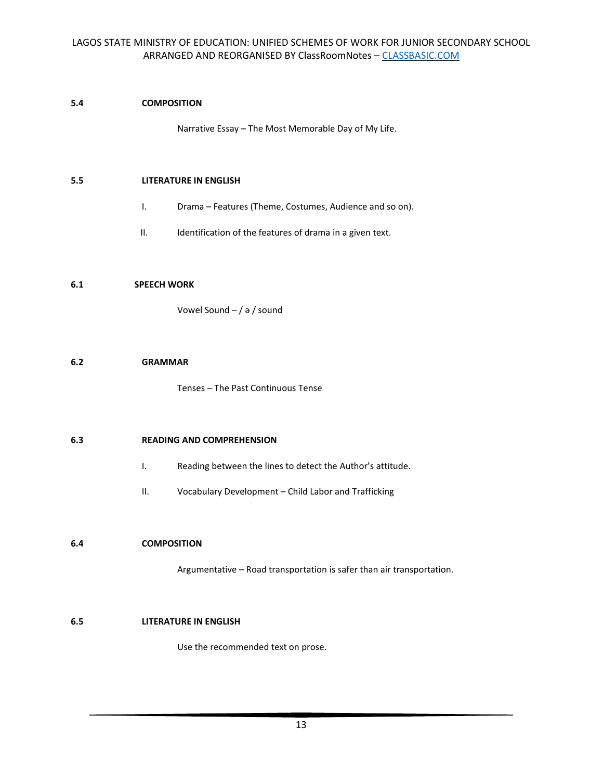# **5.4 COMPOSITION**

Narrative Essay – The Most Memorable Day of My Life.

### **5.5 LITERATURE IN ENGLISH**

- I. Drama Features (Theme, Costumes, Audience and so on).
- II. Identification of the features of drama in a given text.

### **6.1 SPEECH WORK**

Vowel Sound – / ə / sound

### **6.2 GRAMMAR**

Tenses – The Past Continuous Tense

### **6.3 READING AND COMPREHENSION**

- I. Reading between the lines to detect the Author's attitude.
- II. Vocabulary Development Child Labor and Trafficking

# **6.4 COMPOSITION**

Argumentative – Road transportation is safer than air transportation.

### **6.5 LITERATURE IN ENGLISH**

Use the recommended text on prose.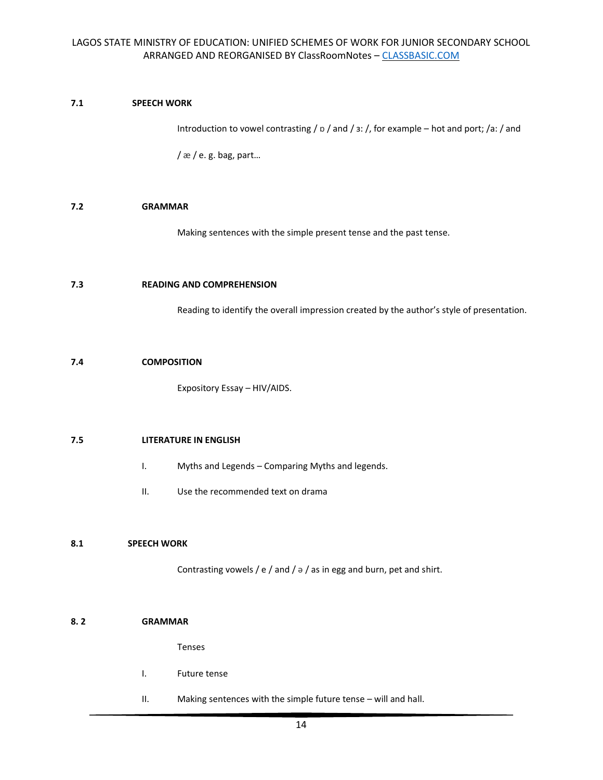# **7.1 SPEECH WORK**

Introduction to vowel contrasting / ɒ / and / ɜ: /, for example – hot and port; /a: / and

 $/\infty$  / e.g. bag, part...

# **7.2 GRAMMAR**

Making sentences with the simple present tense and the past tense.

### **7.3 READING AND COMPREHENSION**

Reading to identify the overall impression created by the author's style of presentation.

### **7.4 COMPOSITION**

Expository Essay – HIV/AIDS.

### **7.5 LITERATURE IN ENGLISH**

- I. Myths and Legends Comparing Myths and legends.
- II. Use the recommended text on drama

### **8.1 SPEECH WORK**

Contrasting vowels / e / and /  $\frac{1}{2}$  / as in egg and burn, pet and shirt.

#### **8. 2 GRAMMAR**

Tenses

- I. Future tense
- II. Making sentences with the simple future tense will and hall.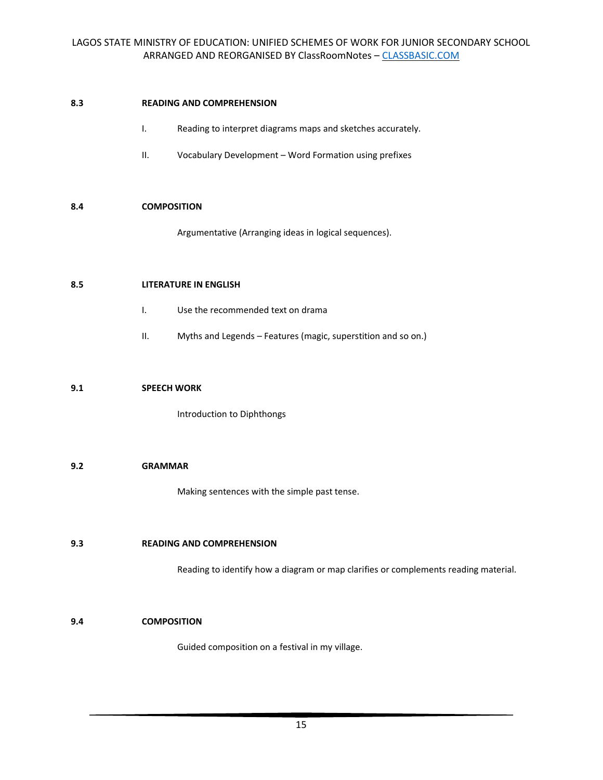### **8.3 READING AND COMPREHENSION**

- I. Reading to interpret diagrams maps and sketches accurately.
- II. Vocabulary Development Word Formation using prefixes

## **8.4 COMPOSITION**

Argumentative (Arranging ideas in logical sequences).

### **8.5 LITERATURE IN ENGLISH**

- I. Use the recommended text on drama
- II. Myths and Legends Features (magic, superstition and so on.)

#### **9.1 SPEECH WORK**

Introduction to Diphthongs

### **9.2 GRAMMAR**

Making sentences with the simple past tense.

#### **9.3 READING AND COMPREHENSION**

Reading to identify how a diagram or map clarifies or complements reading material.

#### **9.4 COMPOSITION**

Guided composition on a festival in my village.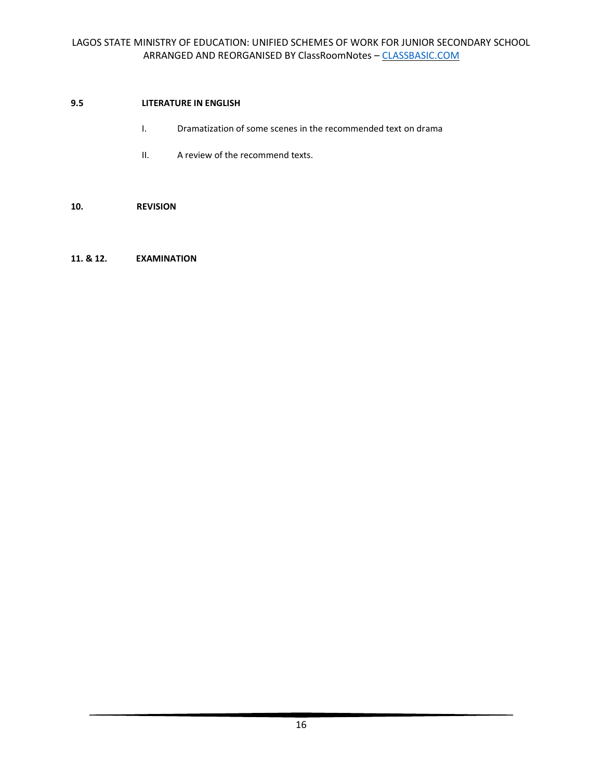# **9.5 LITERATURE IN ENGLISH**

- I. Dramatization of some scenes in the recommended text on drama
- II. A review of the recommend texts.

### **10. REVISION**

### **11. & 12. EXAMINATION**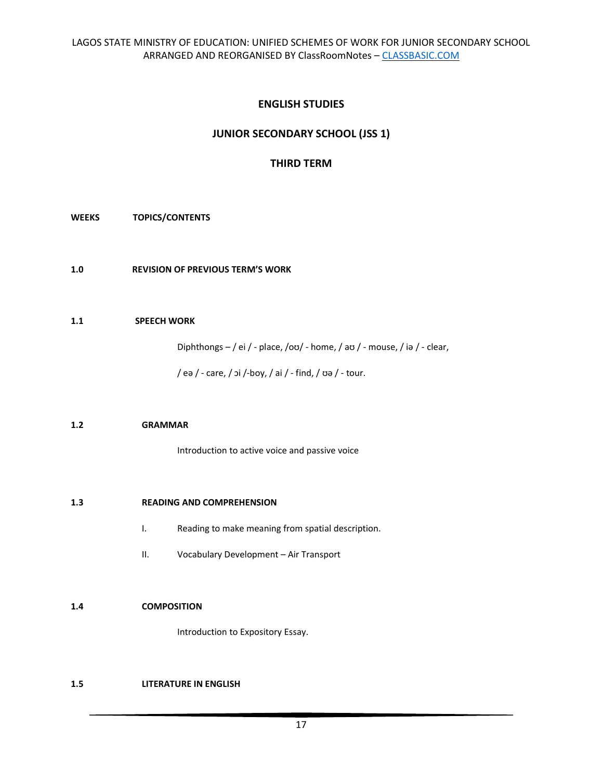# **ENGLISH STUDIES**

# **JUNIOR SECONDARY SCHOOL (JSS 1)**

# **THIRD TERM**

### **WEEKS TOPICS/CONTENTS**

**1.0 REVISION OF PREVIOUS TERM'S WORK** 

### **1.1 SPEECH WORK**

Diphthongs – / ei / - place, /oʊ/ - home, / aʊ / - mouse, / iə / - clear,

/ eə / - care, / ɔi /-boy, / ai / - find, / ʊə / - tour.

### **1.2 GRAMMAR**

Introduction to active voice and passive voice

### **1.3 READING AND COMPREHENSION**

- I. Reading to make meaning from spatial description.
- II. Vocabulary Development Air Transport

### **1.4 COMPOSITION**

Introduction to Expository Essay.

### **1.5 LITERATURE IN ENGLISH**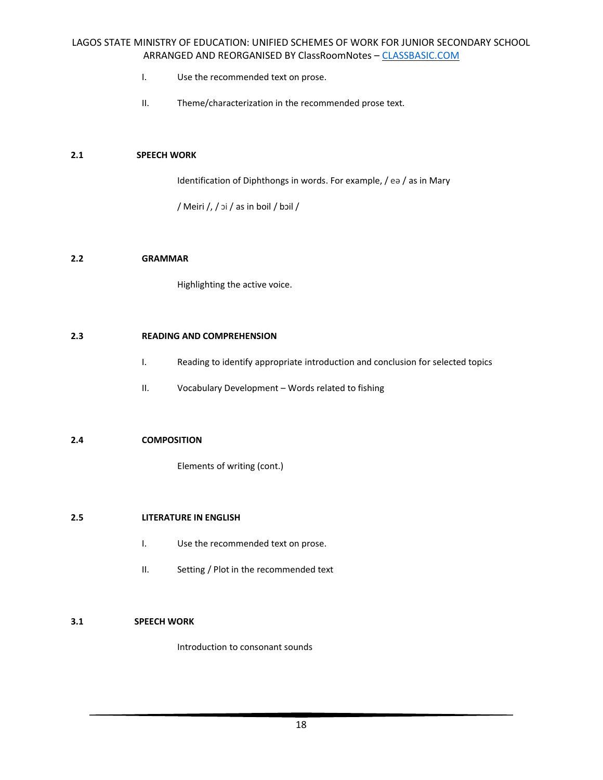- I. Use the recommended text on prose.
- II. Theme/characterization in the recommended prose text.

### **2.1 SPEECH WORK**

Identification of Diphthongs in words. For example, / eə / as in Mary

/ Meiri /, / ɔi / as in boil / bɔil /

### **2.2 GRAMMAR**

Highlighting the active voice.

### **2.3 READING AND COMPREHENSION**

- I. Reading to identify appropriate introduction and conclusion for selected topics
- II. Vocabulary Development Words related to fishing

### **2.4 COMPOSITION**

Elements of writing (cont.)

### **2.5 LITERATURE IN ENGLISH**

- I. Use the recommended text on prose.
- II. Setting / Plot in the recommended text

### **3.1 SPEECH WORK**

Introduction to consonant sounds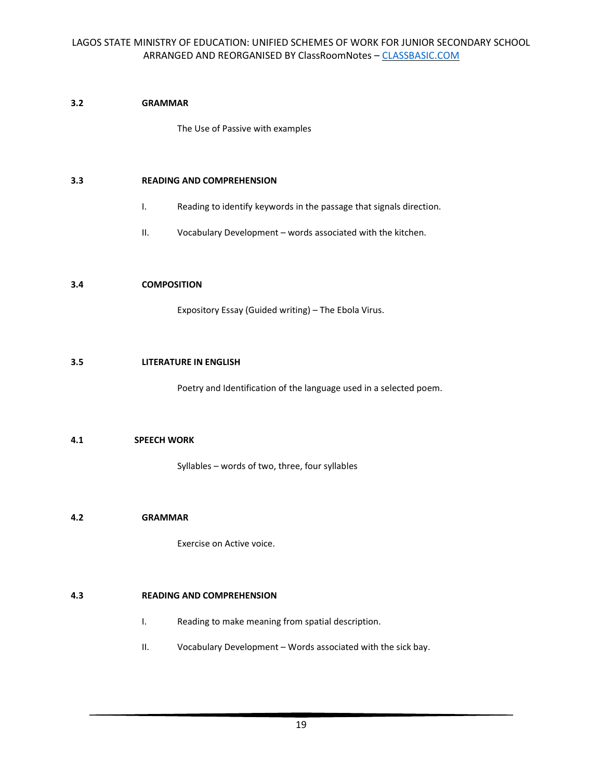# **3.2 GRAMMAR**

The Use of Passive with examples

### **3.3 READING AND COMPREHENSION**

- I. Reading to identify keywords in the passage that signals direction.
- II. Vocabulary Development words associated with the kitchen.

### **3.4 COMPOSITION**

Expository Essay (Guided writing) – The Ebola Virus.

### **3.5 LITERATURE IN ENGLISH**

Poetry and Identification of the language used in a selected poem.

# **4.1 SPEECH WORK**

Syllables – words of two, three, four syllables

### **4.2 GRAMMAR**

Exercise on Active voice.

# **4.3 READING AND COMPREHENSION**

- I. Reading to make meaning from spatial description.
- II. Vocabulary Development Words associated with the sick bay.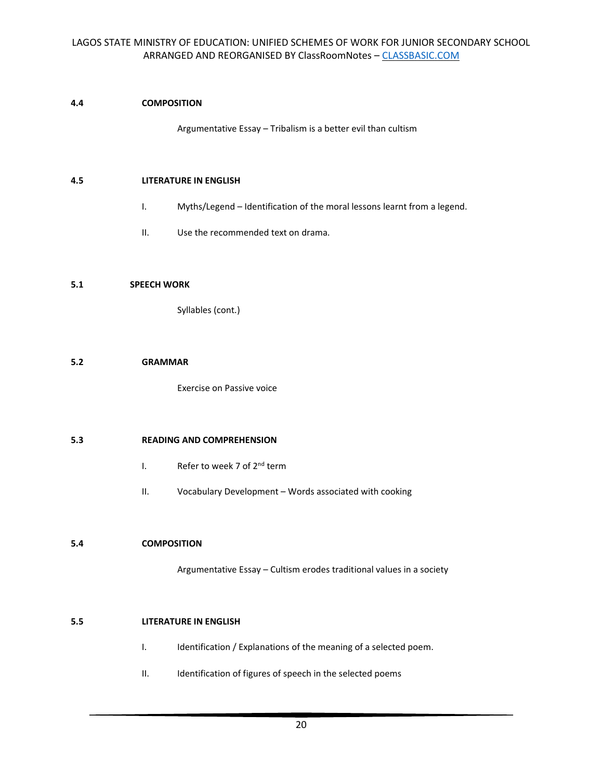# **4.4 COMPOSITION**

Argumentative Essay – Tribalism is a better evil than cultism

### **4.5 LITERATURE IN ENGLISH**

- I. Myths/Legend Identification of the moral lessons learnt from a legend.
- II. Use the recommended text on drama.

### **5.1 SPEECH WORK**

Syllables (cont.)

### **5.2 GRAMMAR**

Exercise on Passive voice

### **5.3 READING AND COMPREHENSION**

- I. Refer to week 7 of 2<sup>nd</sup> term
- II. Vocabulary Development Words associated with cooking

### **5.4 COMPOSITION**

Argumentative Essay – Cultism erodes traditional values in a society

### **5.5 LITERATURE IN ENGLISH**

- I. Identification / Explanations of the meaning of a selected poem.
- II. Identification of figures of speech in the selected poems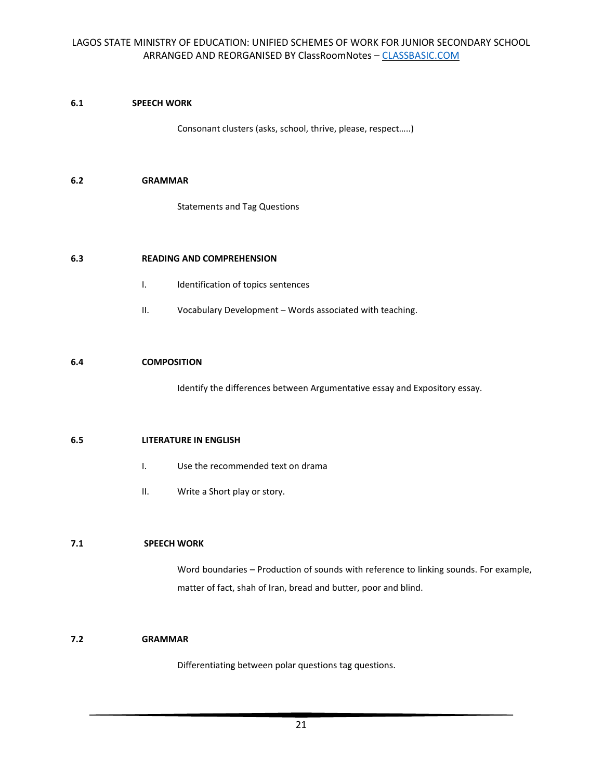# **6.1 SPEECH WORK**

Consonant clusters (asks, school, thrive, please, respect…..)

### **6.2 GRAMMAR**

Statements and Tag Questions

# **6.3 READING AND COMPREHENSION**

- I. Identification of topics sentences
- II. Vocabulary Development Words associated with teaching.

### **6.4 COMPOSITION**

Identify the differences between Argumentative essay and Expository essay.

### **6.5 LITERATURE IN ENGLISH**

- I. Use the recommended text on drama
- II. Write a Short play or story.

# **7.1 SPEECH WORK**

Word boundaries – Production of sounds with reference to linking sounds. For example, matter of fact, shah of Iran, bread and butter, poor and blind.

### **7.2 GRAMMAR**

Differentiating between polar questions tag questions.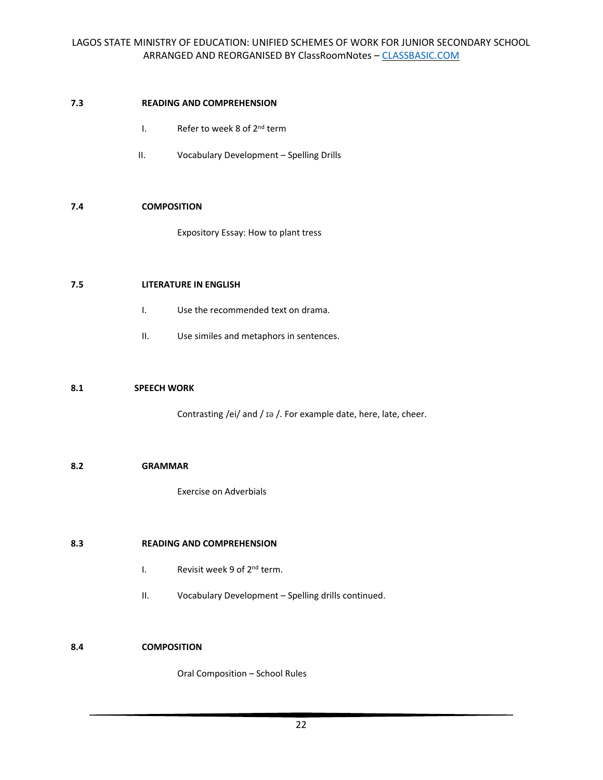### **7.3 READING AND COMPREHENSION**

- I. Refer to week 8 of 2<sup>nd</sup> term
- II. Vocabulary Development Spelling Drills

## **7.4 COMPOSITION**

Expository Essay: How to plant tress

### **7.5 LITERATURE IN ENGLISH**

- I. Use the recommended text on drama.
- II. Use similes and metaphors in sentences.

### **8.1 SPEECH WORK**

Contrasting /ei/ and / ɪə /. For example date, here, late, cheer.

### **8.2 GRAMMAR**

Exercise on Adverbials

### **8.3 READING AND COMPREHENSION**

- I. Revisit week 9 of 2<sup>nd</sup> term.
- II. Vocabulary Development Spelling drills continued.

# **8.4 COMPOSITION**

Oral Composition – School Rules